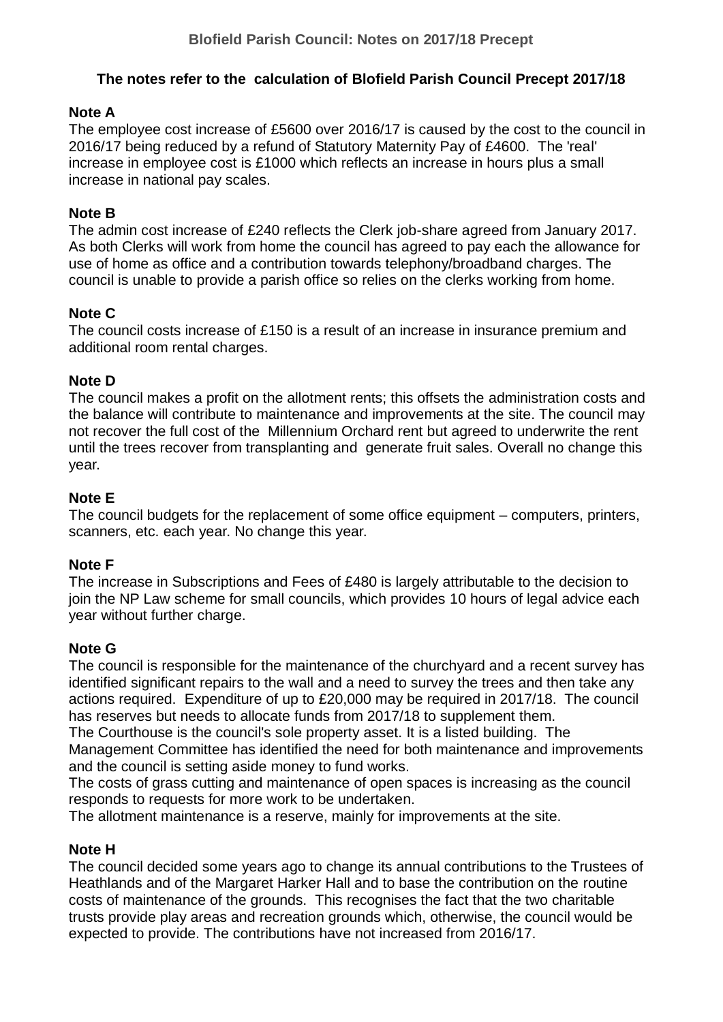# **The notes refer to the calculation of Blofield Parish Council Precept 2017/18**

### **Note A**

The employee cost increase of £5600 over 2016/17 is caused by the cost to the council in 2016/17 being reduced by a refund of Statutory Maternity Pay of £4600. The 'real' increase in employee cost is £1000 which reflects an increase in hours plus a small increase in national pay scales.

## **Note B**

The admin cost increase of £240 reflects the Clerk job-share agreed from January 2017. As both Clerks will work from home the council has agreed to pay each the allowance for use of home as office and a contribution towards telephony/broadband charges. The council is unable to provide a parish office so relies on the clerks working from home.

# **Note C**

The council costs increase of £150 is a result of an increase in insurance premium and additional room rental charges.

## **Note D**

The council makes a profit on the allotment rents; this offsets the administration costs and the balance will contribute to maintenance and improvements at the site. The council may not recover the full cost of the Millennium Orchard rent but agreed to underwrite the rent until the trees recover from transplanting and generate fruit sales. Overall no change this year.

## **Note E**

The council budgets for the replacement of some office equipment – computers, printers, scanners, etc. each year. No change this year.

#### **Note F**

The increase in Subscriptions and Fees of £480 is largely attributable to the decision to join the NP Law scheme for small councils, which provides 10 hours of legal advice each year without further charge.

#### **Note G**

The council is responsible for the maintenance of the churchyard and a recent survey has identified significant repairs to the wall and a need to survey the trees and then take any actions required. Expenditure of up to £20,000 may be required in 2017/18. The council has reserves but needs to allocate funds from 2017/18 to supplement them.

The Courthouse is the council's sole property asset. It is a listed building. The Management Committee has identified the need for both maintenance and improvements and the council is setting aside money to fund works.

The costs of grass cutting and maintenance of open spaces is increasing as the council responds to requests for more work to be undertaken.

The allotment maintenance is a reserve, mainly for improvements at the site.

#### **Note H**

The council decided some years ago to change its annual contributions to the Trustees of Heathlands and of the Margaret Harker Hall and to base the contribution on the routine costs of maintenance of the grounds. This recognises the fact that the two charitable trusts provide play areas and recreation grounds which, otherwise, the council would be expected to provide. The contributions have not increased from 2016/17.